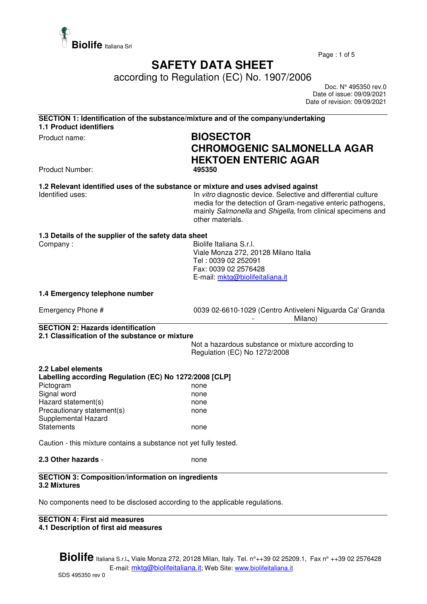

Page : 1 of 5

# **SAFETY DATA SHEET**

according to Regulation (EC) No. 1907/2006

 Doc. N° 495350 rev.0 Date of issue: 09/09/2021 Date of revision: 09/09/2021

#### **SECTION 1: Identification of the substance/mixture and of the company/undertaking 1.1 Product identifiers**

# Product name: **BIOSECTOR CHROMOGENIC SALMONELLA AGAR HEKTOEN ENTERIC AGAR**

**Product Number:** 

# **1.2 Relevant identified uses of the substance or mixture and uses advised against**

Identified uses: In vitro diagnostic device. Selective and differential culture media for the detection of Gram-negative enteric pathogens, mainly Salmonella and Shigella, from clinical specimens and other materials.

## **1.3 Details of the supplier of the safety data sheet**

Company : Georgia Company : Company : Georgia Company : Georgia Company is a Biolife Italiana S.r.l. Viale Monza 272, 20128 Milano Italia Tel : 0039 02 252091 Fax: 0039 02 2576428 E-mail: mktg@biolifeitaliana.it

#### **1.4 Emergency telephone number**

Emergency Phone # 0039 02-6610-1029 (Centro Antiveleni Niguarda Ca' Granda Milano)

## **SECTION 2: Hazards identification 2.1 Classification of the substance or mixture**

Not a hazardous substance or mixture according to Regulation (EC) No 1272/2008

#### **2.2 Label elements Labelling according Regulation (EC) No 1272/2008 [CLP]**

| Pictogram                  | none |
|----------------------------|------|
| Signal word                | none |
| Hazard statement(s)        | none |
| Precautionary statement(s) | none |
| Supplemental Hazard        |      |
| <b>Statements</b>          | none |

Caution - this mixture contains a substance not yet fully tested.

## **2.3 Other hazards - none**

#### **SECTION 3: Composition/information on ingredients 3.2 Mixtures**

No components need to be disclosed according to the applicable regulations.

#### **SECTION 4: First aid measures 4.1 Description of first aid measures**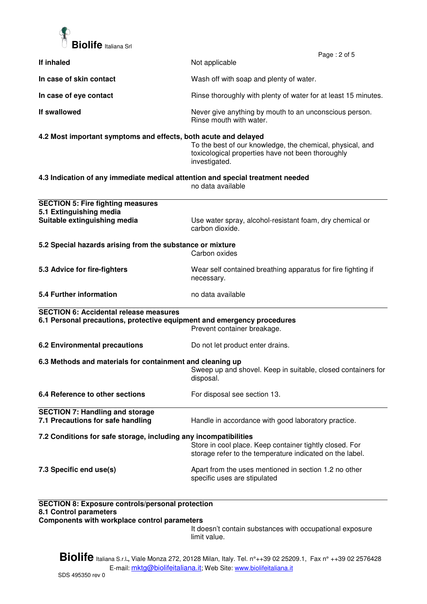

|                                                                                                                                                         | Page: 2 of 5                                                                                                                    |  |  |
|---------------------------------------------------------------------------------------------------------------------------------------------------------|---------------------------------------------------------------------------------------------------------------------------------|--|--|
| If inhaled                                                                                                                                              | Not applicable                                                                                                                  |  |  |
| In case of skin contact                                                                                                                                 | Wash off with soap and plenty of water.                                                                                         |  |  |
| In case of eye contact                                                                                                                                  | Rinse thoroughly with plenty of water for at least 15 minutes.                                                                  |  |  |
| If swallowed                                                                                                                                            | Never give anything by mouth to an unconscious person.<br>Rinse mouth with water.                                               |  |  |
| 4.2 Most important symptoms and effects, both acute and delayed                                                                                         | To the best of our knowledge, the chemical, physical, and<br>toxicological properties have not been thoroughly<br>investigated. |  |  |
| 4.3 Indication of any immediate medical attention and special treatment needed                                                                          | no data available                                                                                                               |  |  |
| <b>SECTION 5: Fire fighting measures</b>                                                                                                                |                                                                                                                                 |  |  |
| 5.1 Extinguishing media                                                                                                                                 |                                                                                                                                 |  |  |
| Suitable extinguishing media                                                                                                                            | Use water spray, alcohol-resistant foam, dry chemical or<br>carbon dioxide.                                                     |  |  |
| 5.2 Special hazards arising from the substance or mixture                                                                                               |                                                                                                                                 |  |  |
|                                                                                                                                                         | Carbon oxides                                                                                                                   |  |  |
| 5.3 Advice for fire-fighters                                                                                                                            | Wear self contained breathing apparatus for fire fighting if<br>necessary.                                                      |  |  |
| 5.4 Further information                                                                                                                                 | no data available                                                                                                               |  |  |
| <b>SECTION 6: Accidental release measures</b><br>6.1 Personal precautions, protective equipment and emergency procedures<br>Prevent container breakage. |                                                                                                                                 |  |  |
| <b>6.2 Environmental precautions</b>                                                                                                                    | Do not let product enter drains.                                                                                                |  |  |
| 6.3 Methods and materials for containment and cleaning up                                                                                               | Sweep up and shovel. Keep in suitable, closed containers for<br>disposal.                                                       |  |  |
| 6.4 Reference to other sections                                                                                                                         | For disposal see section 13.                                                                                                    |  |  |
| <b>SECTION 7: Handling and storage</b>                                                                                                                  |                                                                                                                                 |  |  |
| 7.1 Precautions for safe handling                                                                                                                       | Handle in accordance with good laboratory practice.                                                                             |  |  |
|                                                                                                                                                         | 7.2 Conditions for safe storage, including any incompatibilities                                                                |  |  |
|                                                                                                                                                         | Store in cool place. Keep container tightly closed. For<br>storage refer to the temperature indicated on the label.             |  |  |
| 7.3 Specific end use(s)                                                                                                                                 | Apart from the uses mentioned in section 1.2 no other<br>specific uses are stipulated                                           |  |  |
| <b>SECTION 8: Exposure controls/personal protection</b>                                                                                                 |                                                                                                                                 |  |  |

**8.1 Control parameters** 

**Components with workplace control parameters** 

It doesn't contain substances with occupational exposure limit value.

**Biolife** Italiana S.r.l**.,** Viale Monza 272, 20128 Milan, Italy. Tel. n°++39 02 25209.1, Fax n° ++39 02 2576428 E-mail: mktg@biolifeitaliana.it; Web Site: www.biolifeitaliana.it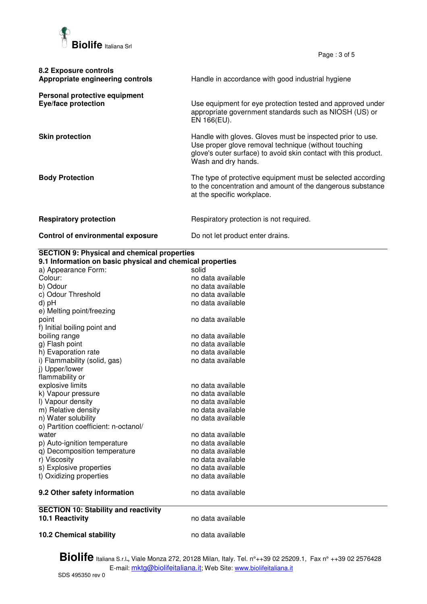

Page : 3 of 5

| 8.2 Exposure controls<br>Appropriate engineering controls   | Handle in accordance with good industrial hygiene                                                                                                                                                            |
|-------------------------------------------------------------|--------------------------------------------------------------------------------------------------------------------------------------------------------------------------------------------------------------|
| Personal protective equipment<br><b>Eye/face protection</b> | Use equipment for eye protection tested and approved under<br>appropriate government standards such as NIOSH (US) or<br>EN 166(EU).                                                                          |
| <b>Skin protection</b>                                      | Handle with gloves. Gloves must be inspected prior to use.<br>Use proper glove removal technique (without touching<br>glove's outer surface) to avoid skin contact with this product.<br>Wash and dry hands. |
| <b>Body Protection</b>                                      | The type of protective equipment must be selected according<br>to the concentration and amount of the dangerous substance<br>at the specific workplace.                                                      |
| <b>Respiratory protection</b>                               | Respiratory protection is not required.                                                                                                                                                                      |
| Control of environmental exposure                           | Do not let product enter drains.                                                                                                                                                                             |

## **SECTION 9: Physical and chemical properties**

**9.1 Information on basic physical and chemical properties** 

| 9. Thromation on basic physical and chemical properties |                   |
|---------------------------------------------------------|-------------------|
| a) Appearance Form:                                     | solid             |
| Colour:                                                 | no data available |
| b) Odour                                                | no data available |
| c) Odour Threshold                                      | no data available |
| d) pH                                                   | no data available |
| e) Melting point/freezing                               |                   |
| point                                                   | no data available |
| f) Initial boiling point and                            |                   |
| boiling range                                           | no data available |
| g) Flash point                                          | no data available |
| h) Evaporation rate                                     | no data available |
| i) Flammability (solid, gas)                            | no data available |
| j) Upper/lower                                          |                   |
| flammability or                                         |                   |
| explosive limits                                        | no data available |
| k) Vapour pressure                                      | no data available |
| I) Vapour density                                       | no data available |
| m) Relative density                                     | no data available |
| n) Water solubility                                     | no data available |
| o) Partition coefficient: n-octanol/                    |                   |
| water                                                   | no data available |
| p) Auto-ignition temperature                            | no data available |
| q) Decomposition temperature                            | no data available |
| r) Viscosity                                            | no data available |
| s) Explosive properties                                 | no data available |
| t) Oxidizing properties                                 | no data available |
| 9.2 Other safety information                            | no data available |
| <b>SECTION 10: Stability and reactivity</b>             |                   |
| <b>10.1 Reactivity</b>                                  | no data available |
| <b>10.2 Chemical stability</b>                          | no data available |

**Biolife** Italiana S.r.l**.,** Viale Monza 272, 20128 Milan, Italy. Tel. n°++39 02 25209.1, Fax n° ++39 02 2576428 E-mail: mktg@biolifeitaliana.it; Web Site: www.biolifeitaliana.it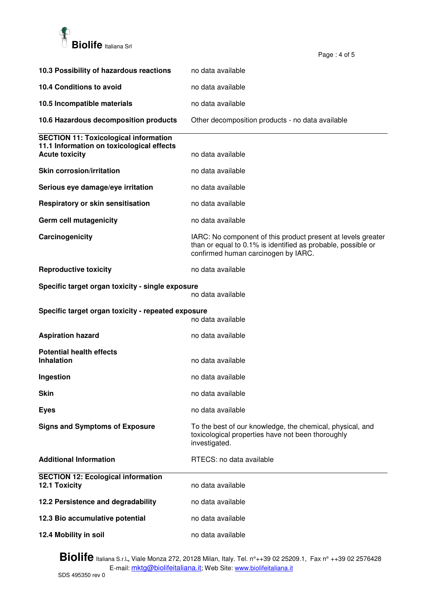

|                                                                                                                    | Page: 4 of 5                                                                                                                                                        |
|--------------------------------------------------------------------------------------------------------------------|---------------------------------------------------------------------------------------------------------------------------------------------------------------------|
| 10.3 Possibility of hazardous reactions                                                                            | no data available                                                                                                                                                   |
| 10.4 Conditions to avoid                                                                                           | no data available                                                                                                                                                   |
| 10.5 Incompatible materials                                                                                        | no data available                                                                                                                                                   |
| 10.6 Hazardous decomposition products                                                                              | Other decomposition products - no data available                                                                                                                    |
| <b>SECTION 11: Toxicological information</b><br>11.1 Information on toxicological effects<br><b>Acute toxicity</b> | no data available                                                                                                                                                   |
| <b>Skin corrosion/irritation</b>                                                                                   | no data available                                                                                                                                                   |
| Serious eye damage/eye irritation                                                                                  | no data available                                                                                                                                                   |
| Respiratory or skin sensitisation                                                                                  | no data available                                                                                                                                                   |
| Germ cell mutagenicity                                                                                             | no data available                                                                                                                                                   |
| Carcinogenicity                                                                                                    | IARC: No component of this product present at levels greater<br>than or equal to 0.1% is identified as probable, possible or<br>confirmed human carcinogen by IARC. |
| <b>Reproductive toxicity</b>                                                                                       | no data available                                                                                                                                                   |
| Specific target organ toxicity - single exposure                                                                   | no data available                                                                                                                                                   |
| Specific target organ toxicity - repeated exposure                                                                 |                                                                                                                                                                     |
|                                                                                                                    | no data available                                                                                                                                                   |
| <b>Aspiration hazard</b>                                                                                           | no data available                                                                                                                                                   |
| <b>Potential health effects</b><br><b>Inhalation</b>                                                               | no data available                                                                                                                                                   |
| Ingestion                                                                                                          | no data available                                                                                                                                                   |
| <b>Skin</b>                                                                                                        | no data available                                                                                                                                                   |
| <b>Eyes</b>                                                                                                        | no data available                                                                                                                                                   |
| <b>Signs and Symptoms of Exposure</b>                                                                              | To the best of our knowledge, the chemical, physical, and<br>toxicological properties have not been thoroughly<br>investigated.                                     |
| <b>Additional Information</b>                                                                                      | RTECS: no data available                                                                                                                                            |
| <b>SECTION 12: Ecological information</b><br><b>12.1 Toxicity</b>                                                  | no data available                                                                                                                                                   |
| 12.2 Persistence and degradability                                                                                 | no data available                                                                                                                                                   |
| 12.3 Bio accumulative potential                                                                                    | no data available                                                                                                                                                   |
| 12.4 Mobility in soil                                                                                              | no data available                                                                                                                                                   |

**Biolife** Italiana S.r.l**.,** Viale Monza 272, 20128 Milan, Italy. Tel. n°++39 02 25209.1, Fax n° ++39 02 2576428 E-mail: mktg@biolifeitaliana.it; Web Site: www.biolifeitaliana.it